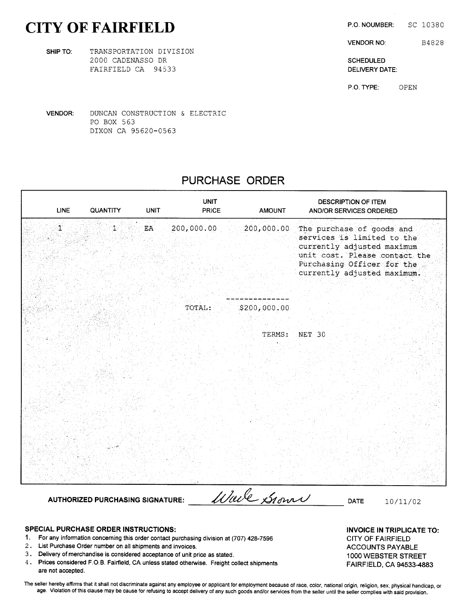# CITY OF FAIRFIELD P.O. NOUMBER: SC 10380

SHIP TO: TRANSPORTATION DIVISION 2000 CADENASSO DR SCHEDULED AND SCHEDULED FAIRFIELD CA 94533 **DELIVERY DATE:** 

PO BOX 563

VENDOR: DUNCAN CONSTRUCTION & ELECTRIC

DIXON CA 95620-0563

# PURCHASE ORDER

UNIT DESCRIPTION OF ITEM

LINE QUANTITY UNIT PRICE AMOUNT AND/OR SERVICES ORDERED UNIT<br>1 1 EA 200,000.00 200,000.00 The purchase of goods and<br>1 200,000.00 200,000.00 The purchase of goods and<br>1 EA 200,000.00 200,000.00 The purchase of goods and The purchase of goods and<br>services is limited to the currently adjusted maximum unit cost. Please contact the Purchasing Officer for the currently adjusted maximum.  $T$ OTAL:  $200, 000, 00$ TERMS: NET 30 AUTHORIZED PURCHASING SIGNATURE: *Wave Signat* DATE 10/11/02

The seller hereby affirms that it shall not discriminate against any employee or applicant for employment because of race, color, national origin, religion, sex, physical handicap, or age. Violation of this clause may be cause for refusing to accept delivery of any such goods and/or services from the seller until the seller complies with said provision.

- 1. For any information concerning this order contact purchasing division at (707) 428-7596 CITY OF FAIRFIELD<br>2. List Purchase Order number on all shipments and invoices.
- List Purchase Order number on all shipments and invoices. ACCOUNTS PAYABLE
- 3. Delivery of merchandise is considered acceptance of unit price as stated. <sup>1000</sup> WEBSTER STREET
- 4. Prices considered F.O.B. Fairfield, CA unless stated otherwise. Freight collect shipments FAIRFIELD, CA 94533-4883 are not accepted.

SPECIAL PURCHASE ORDER INSTRUCTIONS:<br>1. For any information concerning this order contact purchasing division at (707) 428-7596 CITY OF FAIRFIFI D

VENDOR NO: B4828

P.O. TYPE: OPEN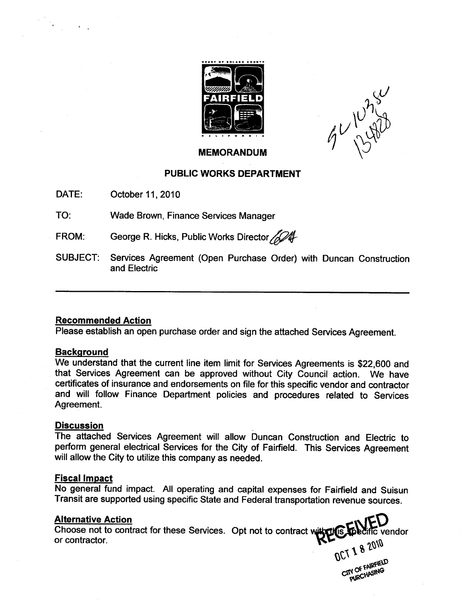

v  $41/$ 

#### MEMORANDUM

# PUBLIC WORKS DEPARTMENT

DATE: October 11, 2010

TO: Wade Brown, Finance Services Manager

FROM: George R. Hicks, Public Works Director

SUBJECT: Services Agreement (Open Purchase Order) with Duncan Construction and Electric

# Recommended Action

Please establish an open purchase order and sign the attached Services Agreement.

#### **Background**

We understand that the current line item limit for Services Agreements is \$22,600 and that Services Agreement can be approved without City Council action. We have certificates of insurance and endorsements on file for this specific vendor and contractor and will follow Finance Department policies and procedures related to Services Agreement.

#### **Discussion**

The attached Services Agreement will allow Duncan Construction and Electric to perform general electrical Services for the City of Fairfield. This Services Agreement will allow the City to utilize this company as needed.

#### Fiscal Impact

No general fund impact. All operating and capital expenses for Fairfield and Suisun Transit are supported using specific State and Federal transportation revenue sources.

# Alternative Action

Choose not to contract for these Services. Opt not to contract with the Leading vendor or contractor. or contractor.

**1 8 2010**  $\mathcal{OC}$ **S** 2010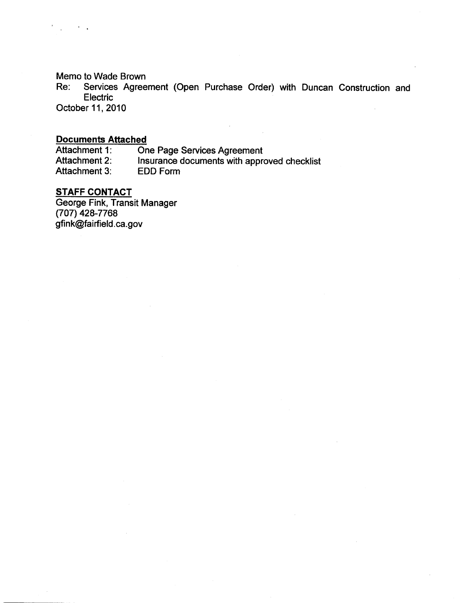Memo to Wade Brown

Re: Services Agreement (Open Purchase Order) with Duncan Construction and **Electric** 

October 11, 2010

 $\mathcal{F}^{\mathcal{G}}_{\mathcal{G}}$  .

# Documents Attached

Attachment 1: One Page Services Agreement<br>Attachment 2: Insurance documents with appro Insurance documents with approved checklist<br>EDD Form Attachment 3:

# **STAFF CONTACT**

George Fink, Transit Manager<br>(707) 428-7768<br>gfink@fairfield.ca.gov  $(707)$  428-7768<br>gfink@fairfield.ca.gov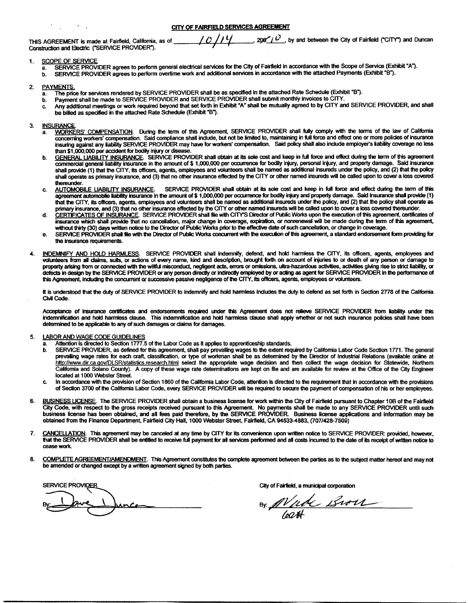CITY OF FAIRFIELD SERVICES AGREEMENT

| THIS AGREEMENT is made at Fairfield, California, as of |  |  |  |
|--------------------------------------------------------|--|--|--|
| Construction and Electric ("SERVICE PROVIDER").        |  |  |  |

 $T$  ( )  $T$  /  $T$   $T$   $T$   $T$   $T$   $T$   $T$   $T$  by and between the City of Fairfield ("CITY") and Duncan

#### 1. SCOPE OF SERVICE

 $\sim 10^{-10}$  km s  $^{-1}$ 

a. SERVICE PROVIDER agrees to perform general electrical services for the City of Fairfield in accordance with the Scope of Service (Exhibit "A").<br>b. SERVICE PROVIDER agrees to perform overtime work and additional services SERVICE PROVIDER agrees to perform overtime work and additional services in accordance with the attached Payments (Exhibit "B").

#### 2. PAYMENTS.

- a. The price for services rendered by SERVICE PROVIDER shall be as specified in the attached Rate Schedule (Exhibit "B").<br>b. Payment shall be made to SERVICE PROVIDER and SERVICE PROVIDER shall submit monthly invoices to C
- b. Payment shall be made to SERVICE PROVIDER and SERVICE PROVIDER shall submit monthly invoices to CITY.
- b. Payment shall be made to Service PROVIDER and SERVICE PROVIDER shall submit monthly arroces to SPRT.<br>c. Any additional meetings or work required beyond that set forth in Exhibit "A" shall be mutually agreed to by CITY a

#### 3. INSURANCE

- a. WORKERS' COMPENSATION. During the term of this Agreement, SERVICE PROVIDER shall fully comply with the terms of the law of California concerning workers' compensation. Said compliance shall include, but not be limited to, maintaining in full force and effect one or more policies of insurance WORKERS' COMPENSATION. During the term of this Agreement, SERVICE PROVIDER shall fully comply with the terms of the law of California<br>concerning workers' compensation. Said compliance shall include, but not be limited to, insuring against any liability SERVICE PROVIDER may have for workers' compensation. Said policy shall also include employer's liability coverage no less than \$1,000,000 per accident for bodily injury or disease.
- than \$1,000,000 per accident for bodily injury or disease.<br>C<u>GENERAL LIABILITY INSURANCE</u>. SERVICE PROVIDER shall obtain at its sole cost and keep in full force and effect during the term of this agreement of the same comm shall provide (1) that the CITY, its officers, agents, employees and volunteers shall be named as additional insureds under the policy, and (2) that the policy shall operate as primary insurance, and (3) that no other insurance effected by the CITY or other named insureds will be called upon to cover <sup>a</sup> loss covered thereunder.
- c. AUTOMOBILE LIABILITY INSURANCE. SERVICE PROVIDER shall obtain at its sole cost and keep in full force and effect during the term of this intereunder.<br>AUTOMOBILE LIABILITY INSURANCE. SERVICE PROVIDER shall obtain at its sole cost and keep in full force and effect during the term of this<br>agreement automobile liability insurance in the amount of \$1,000,000 per primary insurance, and (3) that no other insurance effected by the CITY or other named insureds will be called upon to cover <sup>a</sup> loss covered thereunder.
- d. CERTIFICATES OF INSURANCE. SERVICE PROVIDER shall file with CITY'S Director of Public Works upon the execution of this agreement, certificates of insurance which shall provide that no cancellation, major change in coverage, expiration, or nonrenewal will be made during the term of this agreement, without thirty (30) days written notice to the Director of Public Works prior to the effective date of such cancellation, or change in coverage.
- e. SERVICE PROVIDER shall file with the Director of Public Works concurrent with the execution of this agreement, a standard endorsement form providing for the insurance requirements.
- 4. INDEMNIFY AND HOLD HARMLESS. SERVICE PROVIDER shall indemnity, defend, and hold harmless the CITY, its officers, agents, employees and volunteers from all claims, suits, or actions of every name, kind and description, brought forth on account of injuries to or death of any person or damage to property arising from or connected with the willful misconduct, negligent acts, errors or omissions, ultra-hazardous activities, activities giving rise to strict liability, or defects in design by the SERVICE PROVIDER or any person directly or indirectly employed by or ading as agent for SERVICE PROVIDER in the performance of this Agreement, inducting the concurrent of successive passive negligence of the CITY, its officers, agents, employees or volunteers.

It is understood that the duty of SERVICE PROVIDER to indemnify and hold harmless Includes the duty to defend as set forth in Section 2778 of the California Civil Code.

Acceptance of insurance certificates and endorsements required under this Agreement does not relieve SERVICE PROVIDER from liability under this indemnification and hold harmless cause. This indemnification and hold harmless clause shall apply whether or not such insurance policies shall have been determined to be applicable to any of such damages or claims for damages.

- 5. LABOR AND WAGE CODE GUIDELINES
	- a. Attention is directed to Section 1777.5 of the Labor Code as it applies to apprenticeship standards.
	- b. SERVICE PROVIDER, as defined for this agreement, shall pay prevailing wages to the extent required by Califomia Labor Code Section 1771. The general prevailing wage rates for each craft, classification, or type of workman shall be as determined by the Director of Industrial Relations (available online at Drevailing wage rates for each craft, classification, or type of workman shall be as determined by the Director of Industrial Relations (available online a<br>http://www.dir.ca.gov/DLSR/statistics.research.html select the app located at 1000 Webster Street.
	- c. In accordance with the provision of Section <sup>1860</sup> of the Califomia Labor Code, attention is directed to the requirement that in accordance with the provisions of Section <sup>3700</sup> of the California Labor Code, every SERVICE PROVIDER will be required to secure the payment of compensation of his or her employees.
- 6. BUSINESS LICENSE. The SERVICE PROVIDER shall obtain a business license for work within the City of Fairfield pursuant to Chapter 10B of the Fairfield City Code, with respect to the gross receipts received pursuant to this Agreement. No payments shall be made to any SERVICE PROVIDER until such business license has been obtained, and all fees paid therefore, by the SERVICE PROVIDER. Business license applications and information may be obtained from the Finance Department, Fairfield City Hall, 1000 Webster Street, Fairfield, CA 94533-4883, (707/428-7509)
- 7. CANCELLATION. This agreement may be canceled at any time by CITY for its convenience upon written notice to SERVICE PROVIDER: provided, however, that the SERVICE PROVIDER shall be entitled to receive full payment for all services performed and all costs incurred to the date of its receipt of written notice to cease work.
- 8. COMPLETE AGREEMENT/AMENDMENT. This Agreement constitutes the complete agreement between the parties as to the subject matter hereof and may not be amended or changed except by a written agreement signed by both parties.

SERVICE PROVIDER

City of Fairfield, a municipal corporation

 $\mathcal{L}$ G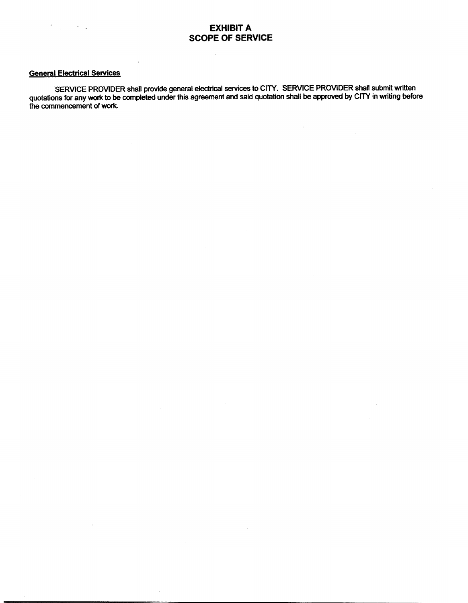#### General Electrical Services

 $\mathcal{L}^{\text{max}}$  , where  $\mathcal{L}^{\text{max}}$ 

SERVICE PROVIDER shall provide general electrical services to CITY. SERVICE PROVIDER shall submit written quotations for any work to be completed under this agreement and said quotation shall be approved by CITY in writing before the commencement of work.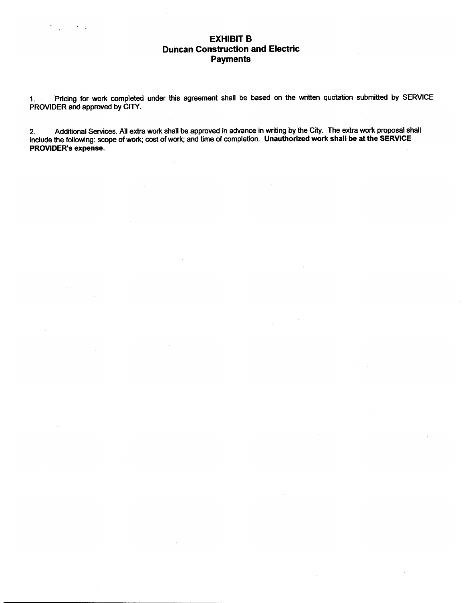# EXHIBIT B Duncan Construction and Electric **Payments**

1. Pricing for work completed under this agreement shall be based on the written quotation submitted by SERVICE PROVIDER and approved by CITY.

2. Additional Services. All extra work shall be approved in advance in writing by the City. The extra work proposal shall include the following: scope of work; cost of work; and time of completion. Unauthorized work shall be at the SERVICE 2. Additional Serv<br>include the following: s<br>PROVIDER's expense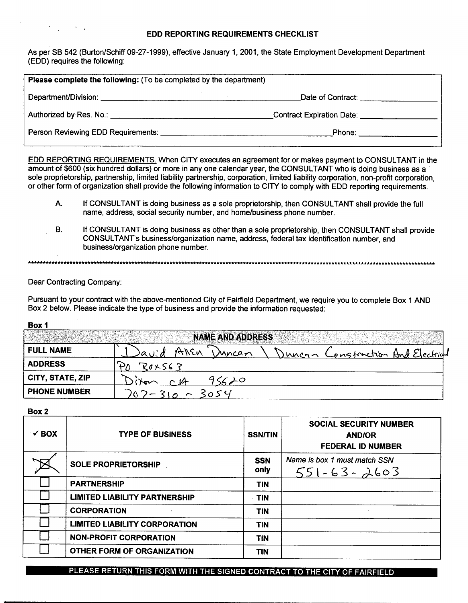## EDD REPORTING REQUIREMENTS CHECKLIST

As per SB 542 (Burton/Schiff 09-27-1999), effective January 1, 2001, the State Employment Development Department EDD) requires the following:

| <b>Please complete the following:</b> (To be completed by the department) |                                                     |
|---------------------------------------------------------------------------|-----------------------------------------------------|
|                                                                           | Date of Contract: Date of Contract:                 |
|                                                                           | Contract Expiration Date: Contract Expiration Date: |
| Person Reviewing EDD Requirements:                                        |                                                     |

- A. If CONSULTANT is doing business as <sup>a</sup> sole proprietorship, then CONSULTANT shall provide the full name, address, social security number, and home/business phone number.
- B. If CONSULTANT is doing business as other than <sup>a</sup> sole proprietorship, then CONSULTANT shall provide If CONSULTANT is doing business as a sole proprietorship, then CONSULTANT shall provid<br>name, address, social security number, and home/business phone number.<br>If CONSULTANT is doing business as other than a sole proprietors business/organization phone number.

 $\mathcal{F}^{\mathcal{G}}_{\mathcal{G}}(x)$  and  $\mathcal{F}^{\mathcal{G}}_{\mathcal{G}}(x)$ 

| <b>EDD REPORTING REQUIREMENTS.</b> When CITY executes an agreement for or makes payment to CONSULTANT in the<br>amount of \$600 (six hundred dollars) or more in any one calendar year, the CONSULTANT who is doing business as a<br>sole proprietorship, partnership, limited liability partnership, corporation, limited liability corporation, non-profit corporation,<br>or other form of organization shall provide the following information to CITY to comply with EDD reporting requirements. |                                                                                                                                                                                                                                       |  |  |  |  |  |
|-------------------------------------------------------------------------------------------------------------------------------------------------------------------------------------------------------------------------------------------------------------------------------------------------------------------------------------------------------------------------------------------------------------------------------------------------------------------------------------------------------|---------------------------------------------------------------------------------------------------------------------------------------------------------------------------------------------------------------------------------------|--|--|--|--|--|
| Α.                                                                                                                                                                                                                                                                                                                                                                                                                                                                                                    | If CONSULTANT is doing business as a sole proprietorship, then CONSULTANT shall provide the full<br>name, address, social security number, and home/business phone number.                                                            |  |  |  |  |  |
| В.                                                                                                                                                                                                                                                                                                                                                                                                                                                                                                    | If CONSULTANT is doing business as other than a sole proprietorship, then CONSULTANT shall provide<br>CONSULTANT's business/organization name, address, federal tax identification number, and<br>business/organization phone number. |  |  |  |  |  |
|                                                                                                                                                                                                                                                                                                                                                                                                                                                                                                       |                                                                                                                                                                                                                                       |  |  |  |  |  |
| Dear Contracting Company:                                                                                                                                                                                                                                                                                                                                                                                                                                                                             |                                                                                                                                                                                                                                       |  |  |  |  |  |
| Pursuant to your contract with the above-mentioned City of Fairfield Department, we require you to complete Box 1 AND<br>Box 2 below. Please indicate the type of business and provide the information requested:                                                                                                                                                                                                                                                                                     |                                                                                                                                                                                                                                       |  |  |  |  |  |
| Box 1                                                                                                                                                                                                                                                                                                                                                                                                                                                                                                 |                                                                                                                                                                                                                                       |  |  |  |  |  |
| <b>NAME AND ADDRESS</b>                                                                                                                                                                                                                                                                                                                                                                                                                                                                               |                                                                                                                                                                                                                                       |  |  |  |  |  |
| <b>FULL NAME</b>                                                                                                                                                                                                                                                                                                                                                                                                                                                                                      | IGILEN<br>onstruction And Electri<br>Mncan<br>magn                                                                                                                                                                                    |  |  |  |  |  |
| <b>ADDRESS</b>                                                                                                                                                                                                                                                                                                                                                                                                                                                                                        | R0x563                                                                                                                                                                                                                                |  |  |  |  |  |
| CITY, STATE, ZIP                                                                                                                                                                                                                                                                                                                                                                                                                                                                                      |                                                                                                                                                                                                                                       |  |  |  |  |  |
| <b>PHONE NUMBER</b>                                                                                                                                                                                                                                                                                                                                                                                                                                                                                   | 3054                                                                                                                                                                                                                                  |  |  |  |  |  |
|                                                                                                                                                                                                                                                                                                                                                                                                                                                                                                       |                                                                                                                                                                                                                                       |  |  |  |  |  |

Box 2

| $\checkmark$ BOX | <b>TYPE OF BUSINESS</b>              | <b>SSN/TIN</b>     | <b>SOCIAL SECURITY NUMBER</b><br><b>AND/OR</b><br><b>FEDERAL ID NUMBER</b> |
|------------------|--------------------------------------|--------------------|----------------------------------------------------------------------------|
|                  | <b>SOLE PROPRIETORSHIP</b>           | <b>SSN</b><br>only | Name is box 1 must match SSN<br>$551 - 63 - 2603$                          |
|                  | <b>PARTNERSHIP</b>                   | <b>TIN</b>         |                                                                            |
|                  | <b>LIMITED LIABILITY PARTNERSHIP</b> | <b>TIN</b>         |                                                                            |
|                  | <b>CORPORATION</b>                   | <b>TIN</b>         |                                                                            |
|                  | <b>LIMITED LIABILITY CORPORATION</b> | <b>TIN</b>         |                                                                            |
|                  | <b>NON-PROFIT CORPORATION</b>        | <b>TIN</b>         |                                                                            |
|                  | <b>OTHER FORM OF ORGANIZATION</b>    | <b>TIN</b>         |                                                                            |

PLEASE RETURN THIS FORM WITH THE SIGNED CONTRACT TO THE CITY OF FAIRFIELD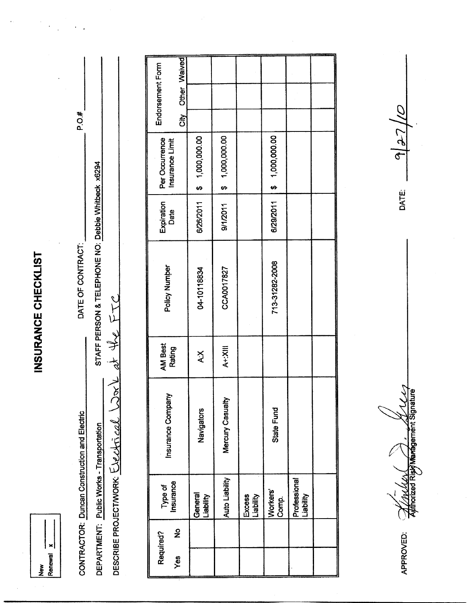INSURANCE CHECKLIST

 $\ddot{\phantom{0}}$ 

P.O.#

DATE OF CONTRACT:

 $\blacksquare$ Renewal New

| CONTRACTOR: Duncan Construction and          | <b>Electric</b> | DATE OF CONTRACT:                                  |                                                                                              | P.O.#    |
|----------------------------------------------|-----------------|----------------------------------------------------|----------------------------------------------------------------------------------------------|----------|
| DEPARTMENT: Public Works - Transportation    |                 | STAFF PERSON & TELEPHONE NO: Debbie Whitbeck x6294 |                                                                                              |          |
| DESCRIBE PROJECTMORK: We like the st the FTC |                 |                                                    |                                                                                              |          |
|                                              |                 |                                                    |                                                                                              |          |
|                                              |                 |                                                    |                                                                                              |          |
| Required?                                    |                 | $\begin{array}{c}\n1 \\ 2 \\ 3\n\end{array}$       | $E_{\text{c}}$ and $\alpha$ and $\alpha$ and $\alpha$ and $\alpha$ and $\alpha$ and $\alpha$ | Endorsen |

|     | Required?    | Type of                     | Insurance Company | <b>AM Best</b> | Policy Number  | Expiration | Per Occurrence  |           | Endorsement Form |  |
|-----|--------------|-----------------------------|-------------------|----------------|----------------|------------|-----------------|-----------|------------------|--|
| Yes | $\mathbf{z}$ | Insurance                   |                   | <b>Rating</b>  |                | Date       | Insurance Limit | čity<br>Ö | Other Waived     |  |
|     |              | General<br><b>Liability</b> | Navigators        | X:X            | 04-10118834    | 6/26/2011  | \$1,000,000.00  |           |                  |  |
|     |              | Auto Liability              | Mercury Casualty  | A+:XIII        | CCA0017827     | 9/1/2011   | \$1,000,000.00  |           |                  |  |
|     |              | Excess<br>Liability         |                   |                |                |            |                 |           |                  |  |
|     |              | Workers'<br>Comp.           | State Fund        |                | 713-31282-2008 | 6/29/2011  | \$ 1,000,000.00 |           |                  |  |
|     |              | Professional<br>Liability   |                   |                |                |            |                 |           |                  |  |
|     |              |                             |                   |                |                |            |                 |           |                  |  |

Authorized Risky Management Signature

APPROVED:

 $\frac{d}{27}$ 

**DATE:**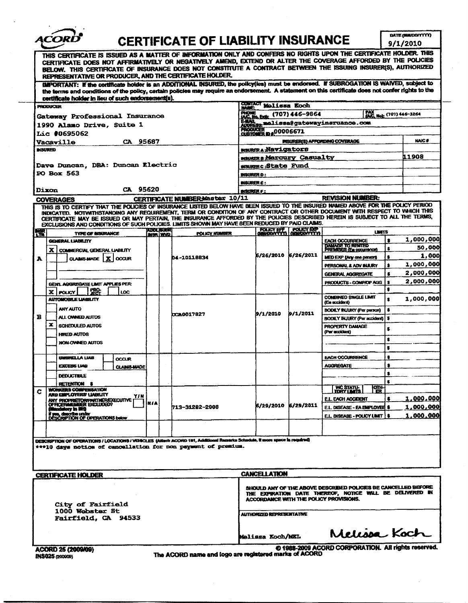|   | <i><b>ACORL</b></i>                                                                                                                                                                                                                                                                                                                                                                                                                                                                                |                                       |                                                       |                                                              |                        |                                                                                                                            |           | DATE (MAUDOVYYYY) |
|---|----------------------------------------------------------------------------------------------------------------------------------------------------------------------------------------------------------------------------------------------------------------------------------------------------------------------------------------------------------------------------------------------------------------------------------------------------------------------------------------------------|---------------------------------------|-------------------------------------------------------|--------------------------------------------------------------|------------------------|----------------------------------------------------------------------------------------------------------------------------|-----------|-------------------|
|   |                                                                                                                                                                                                                                                                                                                                                                                                                                                                                                    |                                       | <b>CERTIFICATE OF LIABILITY INSURANCE</b>             |                                                              |                        |                                                                                                                            |           | 9/1/2010          |
|   | THIS CERTIFICATE IS ISSUED AS A MATTER OF INFORMATION ONLY AND CONFERS NO RIGHTS UPON THE CERTIFICATE HOLDER. THIS<br>CERTIFICATE DOES NOT AFFIRMATIVELY OR NEGATIVELY AMEND, EXTEND OR ALTER THE COVERAGE AFFORDED BY THE POLICIES<br>BELOW. THIS CERTIFICATE OF INSURANCE DOES NOT CONSTITUTE A CONTRACT BETWEEN THE ISSUING INSURER(S), AUTHORIZED<br>REPRESENTATIVE OR PRODUCER, AND THE CERTIFICATE HOLDER.                                                                                   |                                       |                                                       |                                                              |                        |                                                                                                                            |           |                   |
|   | (MPORTANT: if the certificate holder is an ADDITIONAL INSURED, the policylies) must be endorsed. If SUBROGATION IS WAIVED, subject to<br>the terms and conditions of the policy, certain policies may require an endorsement. A statement on this certificate does not confer rights to the                                                                                                                                                                                                        |                                       |                                                       |                                                              |                        |                                                                                                                            |           |                   |
|   | certificate holder in lieu of such endorsement(s).<br><b>PRODUCER</b>                                                                                                                                                                                                                                                                                                                                                                                                                              |                                       |                                                       | <b>COMIACT Molissa Koch</b><br><b>NAME:</b>                  |                        |                                                                                                                            |           |                   |
|   | Gateway Professional Insurance                                                                                                                                                                                                                                                                                                                                                                                                                                                                     |                                       |                                                       | PHONE (707) 446-9864                                         |                        | MC Not (707) 446-3264                                                                                                      |           |                   |
|   | 1990 Alamo Drive, Suite 1                                                                                                                                                                                                                                                                                                                                                                                                                                                                          |                                       |                                                       | <b>EAML</b>                                                  |                        | melissaêqatewayinsruance.com.                                                                                              |           |                   |
|   | Lic #0695062                                                                                                                                                                                                                                                                                                                                                                                                                                                                                       |                                       |                                                       | <b>CUSTOMER D #00006671</b>                                  |                        |                                                                                                                            |           |                   |
|   | CA 95687<br><b>Vacaville</b>                                                                                                                                                                                                                                                                                                                                                                                                                                                                       |                                       |                                                       |                                                              |                        | INSURER(S) AFFORDING COVERAGE                                                                                              |           | <b>NAIC#</b>      |
|   | <b>INSURED</b>                                                                                                                                                                                                                                                                                                                                                                                                                                                                                     |                                       |                                                       | <b>MURERA Navigators</b>                                     |                        |                                                                                                                            |           | 11908             |
|   | Dave Duncan, DBA: Duncan Electric                                                                                                                                                                                                                                                                                                                                                                                                                                                                  |                                       |                                                       | <b>mauners Mercury Casualty</b><br><b>wsurerc:State Fund</b> |                        |                                                                                                                            |           |                   |
|   | PO Box 563                                                                                                                                                                                                                                                                                                                                                                                                                                                                                         |                                       |                                                       | <b>INSURER D :</b>                                           |                        |                                                                                                                            |           |                   |
|   |                                                                                                                                                                                                                                                                                                                                                                                                                                                                                                    |                                       |                                                       | <b>INSURGIR E :</b>                                          |                        |                                                                                                                            |           |                   |
|   | CA 95620<br><b>Dixon</b>                                                                                                                                                                                                                                                                                                                                                                                                                                                                           |                                       |                                                       | <b>ROURSELF:</b>                                             |                        |                                                                                                                            |           |                   |
|   | <b>COVERAGES</b>                                                                                                                                                                                                                                                                                                                                                                                                                                                                                   |                                       | CERTIFICATE NUMBERMaster 10/11                        |                                                              |                        | <b>REVISION NUMBER:</b>                                                                                                    |           |                   |
|   | THIS IS TO CERTIFY THAT THE POLICIES OF INSURANCE LISTED BELOW HAVE BEEN ISSUED TO THE INSURED NAMED ABOVE FOR THE POLICY PERIOD<br>INDICATED. NOTWITHSTANDING ANY REQUIREMENT, TERM OR CONDITION OF ANY CONTRACT OR OTHER DOCUMENT WITH RESPECT TO WHICH THIS<br>CERTIFICATE MAY BE ISSUED OR MAY PERTAIN, THE INSURANCE AFFORDED BY THE POLICIES DESCRIBED HEREIN IS SUBJECT TO ALL THE TERMS,<br>EXCLUSIONS AND CONDITIONS OF SUCH POLICIES. LIMITS SHOWN MAY HAVE BEEN REDUCED BY PAID CLAIMS. |                                       |                                                       |                                                              |                        |                                                                                                                            |           |                   |
| 犣 | <b>TYPE OF INSURANCE</b>                                                                                                                                                                                                                                                                                                                                                                                                                                                                           | <b>KUDLISUERI</b><br><b>DISR WIDE</b> | POLICY KUMBER                                         |                                                              | POLICY REEL POLICY BOP | <b>LIMITS</b>                                                                                                              |           |                   |
|   | GENERAL LIABILITY                                                                                                                                                                                                                                                                                                                                                                                                                                                                                  |                                       |                                                       |                                                              |                        | <b>EACH OCCURRENCE</b>                                                                                                     | \$        | 1,000,000         |
|   | X COMMERCIAL GENERAL LIABILITY                                                                                                                                                                                                                                                                                                                                                                                                                                                                     |                                       |                                                       | 6/26/2010                                                    | 6/26/2011              | DAMAGE TO RENTED<br>PREMISES (En oppumence)                                                                                | s.        | 50,000<br>1,000   |
| A | CLASHS MADE   X   OCCUR                                                                                                                                                                                                                                                                                                                                                                                                                                                                            |                                       | <b>D4-10118834</b>                                    |                                                              |                        | MED EXP (Any ana panang<br>PERSONAL & ADV INJURY                                                                           | 2<br>\$   | 1,000,000         |
|   |                                                                                                                                                                                                                                                                                                                                                                                                                                                                                                    |                                       |                                                       |                                                              |                        | GENERAL AGGREGATE                                                                                                          |           | 2,000,000         |
|   | GEN'L AGGREGATE LIMIT APPLIES PER:                                                                                                                                                                                                                                                                                                                                                                                                                                                                 |                                       |                                                       |                                                              |                        | PRODUCTS - COMP/OP AGG                                                                                                     | 2         | 2,000,000         |
|   | 盥<br>X   POUCY  <br>LOC                                                                                                                                                                                                                                                                                                                                                                                                                                                                            |                                       |                                                       |                                                              |                        |                                                                                                                            | \$        |                   |
|   | <b>AUTOWOBILE LIABILITY</b>                                                                                                                                                                                                                                                                                                                                                                                                                                                                        |                                       |                                                       |                                                              |                        | <b>CONBINED SINGLE LIMIT</b><br>(En accident)                                                                              | $\bullet$ | 1,000,000         |
|   | ANY AUTO                                                                                                                                                                                                                                                                                                                                                                                                                                                                                           |                                       |                                                       | 9/1/2010                                                     | 9/1/2011               | <b>BODILY INJURY (Per parson)</b>                                                                                          |           |                   |
| в | ALL OWNEED ALITOS                                                                                                                                                                                                                                                                                                                                                                                                                                                                                  |                                       | <b>xxx0017827</b>                                     |                                                              |                        | BODILY INJURY (Per accident)                                                                                               | $\bullet$ |                   |
|   | ×<br>SCHEDULED AUTOS                                                                                                                                                                                                                                                                                                                                                                                                                                                                               |                                       |                                                       |                                                              |                        | PROPERTY DAMAGE<br>(Per accident)                                                                                          | s         |                   |
|   | <b>HIRED AUTOS</b><br><b>NON-OWNED AUTOS</b>                                                                                                                                                                                                                                                                                                                                                                                                                                                       |                                       |                                                       |                                                              |                        |                                                                                                                            | s         |                   |
|   |                                                                                                                                                                                                                                                                                                                                                                                                                                                                                                    |                                       |                                                       |                                                              |                        |                                                                                                                            | \$        |                   |
|   | UMBREELLA LIAB<br><b>OCCUR</b>                                                                                                                                                                                                                                                                                                                                                                                                                                                                     |                                       |                                                       |                                                              |                        | <b>EACH OCCURRENCE</b>                                                                                                     | 8         |                   |
|   | EXCESS LIAB<br><b>CLAIMS-MADE</b>                                                                                                                                                                                                                                                                                                                                                                                                                                                                  |                                       |                                                       |                                                              |                        | <b>AGGREGATE</b>                                                                                                           |           |                   |
|   | <b>DEDUCTBLE</b>                                                                                                                                                                                                                                                                                                                                                                                                                                                                                   |                                       |                                                       |                                                              |                        |                                                                                                                            | \$<br>s.  |                   |
| c | RETENTION \$<br>WORKERS COMPENSATION                                                                                                                                                                                                                                                                                                                                                                                                                                                               |                                       |                                                       |                                                              |                        | WC STATU-<br>ЮIН.<br>m                                                                                                     |           |                   |
|   | AND EMPLOYERS' LIABILITY<br>YIN                                                                                                                                                                                                                                                                                                                                                                                                                                                                    |                                       |                                                       |                                                              |                        | EL EACH ACCIDENT                                                                                                           |           | 1,000,000         |
|   | ANY PROPRIETOR/PARTNÉREXECUTIVE<br>(Macchelory in 1910                                                                                                                                                                                                                                                                                                                                                                                                                                             | N FA                                  | 713-31282-2008                                        | 6/29/2010 6/29/2011                                          |                        | EL DISEASE - EA EMPLOYEE \$                                                                                                |           | <u>1,000,000 </u> |
|   | if you, describe under<br>DESCRIPTION OF DPERATIONS below                                                                                                                                                                                                                                                                                                                                                                                                                                          |                                       |                                                       |                                                              |                        | E.L. DISEASE - POLICY LIMIT ! \$                                                                                           |           | <u>1,000,000 </u> |
|   |                                                                                                                                                                                                                                                                                                                                                                                                                                                                                                    |                                       |                                                       |                                                              |                        |                                                                                                                            |           |                   |
|   | DEBCRIPTION OF OPERATIONS / LOCATIONS / VEHICLES (Attach ACORD 101, Additional Ramarks Schedule, it more space is required)                                                                                                                                                                                                                                                                                                                                                                        |                                       |                                                       |                                                              |                        |                                                                                                                            |           |                   |
|   | ***10 days notice of cancellation for non payment of premium.                                                                                                                                                                                                                                                                                                                                                                                                                                      |                                       |                                                       |                                                              |                        |                                                                                                                            |           |                   |
|   | <b>CERTIFICATE HOLDER</b>                                                                                                                                                                                                                                                                                                                                                                                                                                                                          |                                       |                                                       | <b>CANCELLATION</b>                                          |                        |                                                                                                                            |           |                   |
|   | City of Fairfield                                                                                                                                                                                                                                                                                                                                                                                                                                                                                  |                                       |                                                       | ACCORDANCE WITH THE POLICY PROVISIONS.                       |                        | SHOULD ANY OF THE ABOVE DESCRIBED POLICIES BE CANCELLED BEFORE<br>THE EXPIRATION DATE THEREOF, NOTICE WILL BE DELIVERED IN |           |                   |
|   | 1000 Webster St<br><b>Fairfield, CA 94533</b>                                                                                                                                                                                                                                                                                                                                                                                                                                                      |                                       |                                                       | AUTHORIZED REPRESENTATIVE                                    |                        |                                                                                                                            |           |                   |
|   |                                                                                                                                                                                                                                                                                                                                                                                                                                                                                                    |                                       |                                                       | <b>Melissa Koch/MEL</b>                                      |                        | Melissa Koch                                                                                                               |           |                   |
|   | ACORD 25 (2009/09)                                                                                                                                                                                                                                                                                                                                                                                                                                                                                 |                                       |                                                       |                                                              |                        | @ 1988-2009 ACORD CORPORATION. All rights reserved.                                                                        |           |                   |
|   | <b>INS025 (200009)</b>                                                                                                                                                                                                                                                                                                                                                                                                                                                                             |                                       | The ACORD name and logo are registered marks of ACORD |                                                              |                        |                                                                                                                            |           |                   |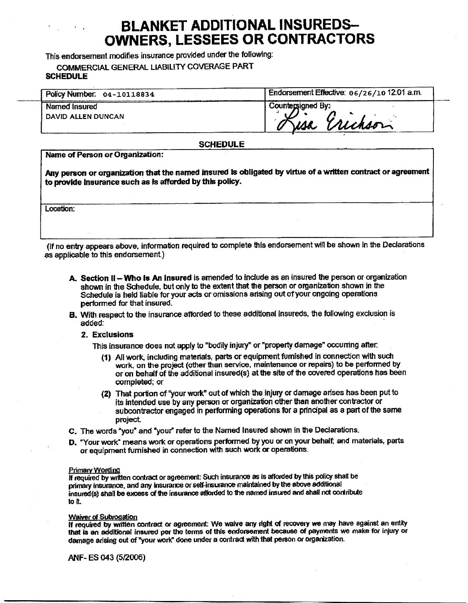# BLANKET ADDITIONAL INSUREDS-OWNERS, LESSEES OR CONTRACTORS

This endorsement modifies insurance provided under the following:

COMMERCIAL GENERAL LIABILITY COVERAGE PART **SCHEDULE** 

| <b>SCHEDULE</b>                     |                                           |  |  |  |
|-------------------------------------|-------------------------------------------|--|--|--|
| Policy Number. 04-10118834          | Endorsement Effective: 06/26/1012:01 a.m. |  |  |  |
| Named Insured<br>DAVID ALLEN DUNCAN | Countersigned By:<br>Wickson<br>isa.      |  |  |  |

## SCHEDULE

Name of Person or Organization:

Any person or organization that the named insured is obligated by virtue of a written contract or agreement to provide Insurance such as is afforded by this policy.

Location:

If no entry appears above, information required to complete this endorsement will be shown in the Declarations as applicable to this endorsement)

- A. Section II Who Is An Insured is amended to include as an insured the person or organization shown in the Schedule, but only to the extent that the person or organization shown in the Schedule is held liable for your acts or omissions arising out of your ongoing operations performed for that insured.
- B. With respect to the insurance afforded to these additional insureds, the following exclusion is added:
	- 2. Exclusions

This insurance does not apply to "bodily injury" or "property damage" occurring after.

- 1) All work, including materials, parts or equipment furnished in connection with such work, on the project (other than service, maintenance or repairs) to be performed by All work, including materials, parts or equipment fumished in connection with such<br>work, on the project (other than service, maintenance or repairs) to be performed by<br>or on behalf of the additional insured(s) at the site completed; or
- 2) That portion of "your work" out of which the injury or damage arises has been put to its intended use by any person or organization other than another contractor or subcontractor engaged in performing operations for <sup>a</sup> principal as <sup>a</sup> part of the same project.
- C. The words "you° and "your" refer to the Named Insured shown in the Declarations.
- D. "Your work" means work or operations performed by you or on your behalf; and materials, parts or equipment furnished in connection with such work or operations\_

#### **Primary Wording**

If required by written contract or agreement: Such insurance as is afforded by this policy shall be primary insurance, and any insurance or self-insurance maintained by the above additional insured(s) shall be excess of the insurance afforded to the named insured and shall not oortribute to it.

#### Waiver of Subrogation

If required by written contract or agreement: We waive any right of recovery we may have against an entity that is an additional insured per the terms of this endorsement because of payments we make for injury or damage arising out of "your work" done under a contract with that person or organization.

ANF-ES 043 (5/2006)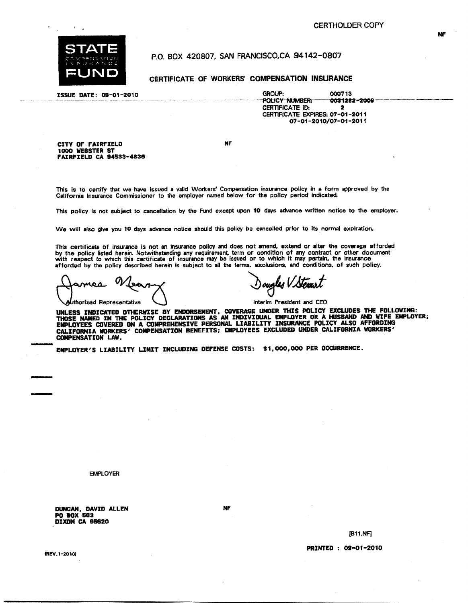

 $\mathbf{A}=\mathbf{A}$ 

1000 WEBSTER ST

P.O. BOX 420807, SAN FRANCISCO, CA 94142-0807

CERTIFICATE OF WORKERS' COMPENSATION INSURANCE

FAIRFIELD CA 94833 -4836

ISSUE DATE: 08-01-2010 GROUP: 000713<br>POLICY NUMBER: 003128 0031282-2008<br>2 CERTIFICATE **ID:** CERTIFICATE EXPIRES: 07 -01 -2011 07 -01- 2010/07 -01 -2011

CITY OF FAIRFIELD NF

This is to certify that we have issued <sup>a</sup> valid Workers' Compensation insurance policy in <sup>a</sup> form approved by the California Insurance Commissioner to the employer named below for the policy period indicated.

This policy is not subject to cancellation by the Fund except upon <sup>10</sup> days advance written notice to the employer.

We will also give you <sup>10</sup> days advance notice should this policy be cancelled prior to its normal expiration.

This certificate of insurance is not an insurance policy and does not amend, extend or alter the coverage afforded by the policy listed herein. Notwithstanding any requirement, term or condition of any contract or other document with respect to which this certificate of insurance may be issued or to which it may pertain, the insurance afforded by the policy described herein is subject to all the terms. exclusions, and conditions. of such policy.

Ω <u>tean</u> ames

ougles V Ste

orixed Representative  $\bigcup$  interim President and CEO

UNLESS INDICATED OTHERWISE BY ENDORSEMENT, COVERAGE UNDER THIS POLICY EXCLUDES THE FOLLOWING:<br>Those named in the policy declarations as an individual employer or a husband and wife. EMPLOYEES COVERED ON <sup>A</sup> COMPREHENSIVE PERSONAL LIABILITY INSURANCE POLICY ALSO AFFORDING CALIFORNIA WORKERS' COMPENSATION BENEFITS; EMPLOYEES EXCLUDED UNDER CALIFORNIA WORKERS' COMPENSATION LAW.

EMPLOYER'S LIABILITY LIMIT INCLUDING DEFENSE COSTS: \$1,000,000 PER OCCURRENCE.

EMPLOYER

DUNCAN, DAVID ALLEN NF PO BOX 583 DIXON CA 96820

NF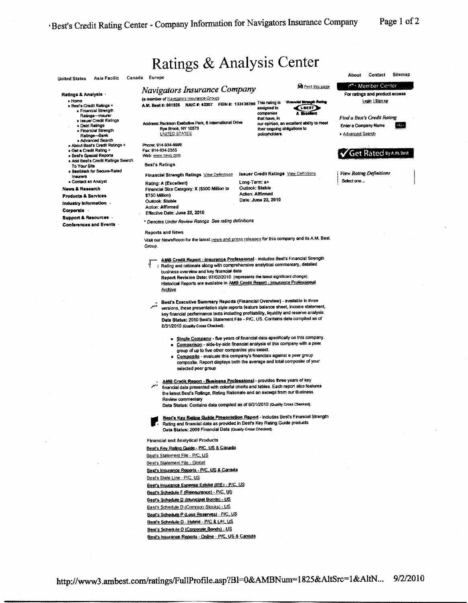Page 1 of 2

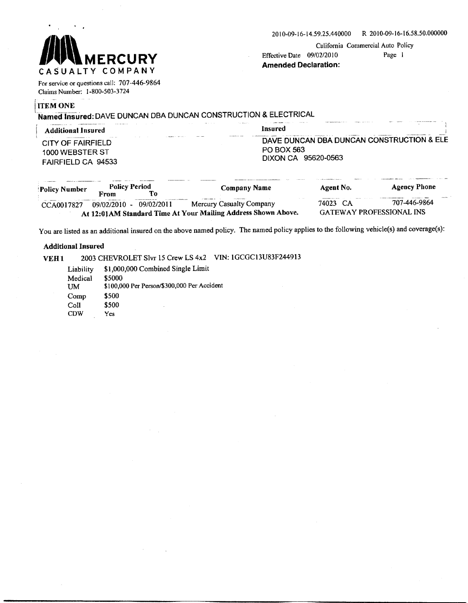

California Commercial Auto Policy

Amended Declaration:

For service or questions call: 707-446-9864 Claims Number: 1- 800 -503 -3724

#### **ITEM ONE**

Named Insured: DAVE DUNCAN DBA DUNCAN CONSTRUCTION & ELECTRICAL

| Additional Insured                                                                                                  | Insured                                                                                                  |
|---------------------------------------------------------------------------------------------------------------------|----------------------------------------------------------------------------------------------------------|
| <b>MARGIN CO., THE CORP.</b><br><b>Service</b><br>CITY OF FAIRFIELD<br>1000 WEBSTER ST<br><b>FAIRFIELD CA 94533</b> | <b>ANAMERICAN ARMS</b><br>DAVE DUNCAN DBA DUNCAN CONSTRUCTION & ELE<br>PO BOX 563<br>DIXON CA 95620-0563 |

| Policy Number | <b>Policy Period</b> |            | <b>Company Name</b>                                            | Agent No.                       | <b>Agency Phone</b> |
|---------------|----------------------|------------|----------------------------------------------------------------|---------------------------------|---------------------|
|               | From                 |            |                                                                |                                 |                     |
| CCA0017827    | $09/02/2010 -$       | 09/02/2011 | Mercury Casualty Company                                       | 74023 CA                        | 707-446-9864        |
|               |                      |            | At 12:01 AM Standard Time At Your Mailing Address Shown Above. | <b>GATEWAY PROFESSIONAL INS</b> |                     |

You are listed as an additional insured on the above named policy. The named policy applies to the following vehicle(s) and coverage(s):

#### Additional Insured

VEH1 2003 CHEVROLET Slvr 15 Crew LS 4x2 VIN: 1GCGC13U83F24491<br>Liability \$1,000,000 Combined Single Limit Medical \$5000 Liability \$1,000,000 Combined Single Limit<br>Medical \$5000<br>UM \$100,000 Per Person/\$300,000 Per Accident<br>Comp \$500 Comp \$500<br>Coll \$500  $Col1$ CDW Yes